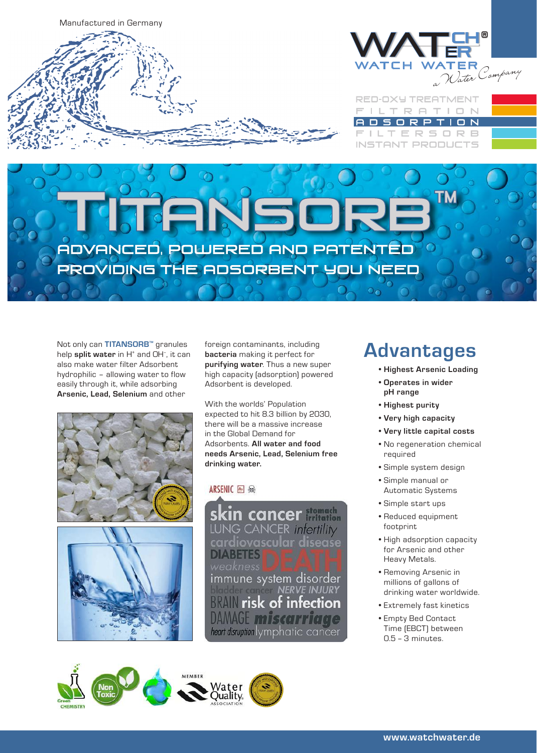



**RED-OXY TREATMENT** TRATION ORPTI  $D N$  $\mathbb{R}$ R B Е **INSTANT PRODUCTS** 

ADVANCED, POWERED AND PATENTED PROVIDING THE ADSORBENT YOU NEED

Not only can **TITANSORB™** granules help **split water** in H<sup>+</sup> and OH<sup>-</sup>, it can also make water filter Adsorbent hydrophilic – allowing water to flow easily through it, while adsorbing **Arsenic, Lead, Selenium** and other





foreign contaminants, including **bacteria** making it perfect for **purifying water**. Thus a new super high capacity (adsorption) powered Adsorbent is developed.

With the worlds' Population expected to hit 8.3 billion by 2030, there will be a massive increase in the Global Demand for Adsorbents. **All water and food needs Arsenic, Lead, Selenium free drinking water.**

### ARSENIC<sup>A</sup>

kin cancer **Monach** LUNG CANCER infertility cardiovascular disease **DIABETES** immune system disorder<br>NERVE INJURY **EXAMPLE 25 YO F** infection DAMAGE miscarriage heart disruption lymphatic cancer

### **Advantages**

- **• Highest Arsenic Loading**
- **• Operates in wider pH range**
- **• Highest purity**
- **• Very high capacity**
- **• Very little capital costs**
- No regeneration chemical required
- Simple system design
- Simple manual or Automatic Systems
- Simple start ups
- Reduced equipment footprint
- High adsorption capacity for Arsenic and other Heavy Metals.
- Removing Arsenic in millions of gallons of drinking water worldwide.
- Extremely fast kinetics
- Empty Bed Contact Time (EBCT) between 0.5 – 3 minutes.







**www.watchwater.de www.watchwater.de**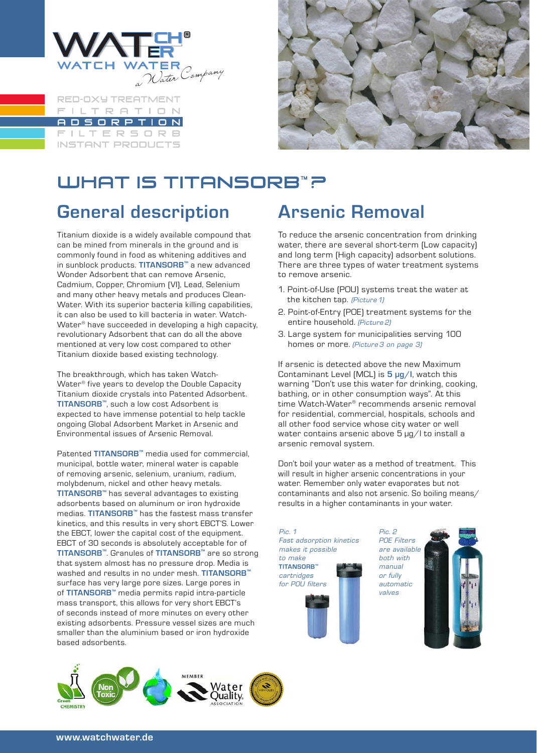

**RED-OXY TREATMENT ILTRATION** DSORPTION  $\Box$ ILTERSORB **INSTANT PRODUCTS** 



# WHAT IS TITANSORB™? **General description**

Titanium dioxide is a widely available compound that can be mined from minerals in the ground and is commonly found in food as whitening additives and in sunblock products. **TITANSORB™** a new advanced Wonder Adsorbent that can remove Arsenic, Cadmium, Copper, Chromium (VI), Lead, Selenium and many other heavy metals and produces Clean-Water. With its superior bacteria killing capabilities, it can also be used to kill bacteria in water. Watch-Water® have succeeded in developing a high capacity, revolutionary Adsorbent that can do all the above mentioned at very low cost compared to other Titanium dioxide based existing technology.

The breakthrough, which has taken Watch-Water® five years to develop the Double Capacity Titanium dioxide crystals into Patented Adsorbent. **TITANSORB™**, such a low cost Adsorbent is expected to have immense potential to help tackle ongoing Global Adsorbent Market in Arsenic and Environmental issues of Arsenic Removal.

Patented **TITANSORB™** media used for commercial, municipal, bottle water, mineral water is capable of removing arsenic, selenium, uranium, radium, molybdenum, nickel and other heavy metals. **TITANSORB™** has several advantages to existing adsorbents based on aluminum or iron hydroxide medias. **TITANSORB™** has the fastest mass transfer kinetics, and this results in very short EBCT'S. Lower the EBCT, lower the capital cost of the equipment. EBCT of 30 seconds is absolutely acceptable for of **TITANSORB™**. Granules of **TITANSORB™** are so strong that system almost has no pressure drop. Media is washed and results in no under mesh. **TITANSORB™** surface has very large pore sizes. Large pores in of **TITANSORB™** media permits rapid intra-particle mass transport, this allows for very short EBCT's of seconds instead of more minutes on every other existing adsorbents. Pressure vessel sizes are much smaller than the aluminium based or iron hydroxide based adsorbents.

## **Arsenic Removal**

To reduce the arsenic concentration from drinking water, there are several short-term (Low capacity) and long term (High capacity) adsorbent solutions. There are three types of water treatment systems to remove arsenic.

- 1. Point-of-Use (POU) systems treat the water at the kitchen tap. *(Picture 1)*
- 2. Point-of-Entry (POE) treatment systems for the entire household. *(Picture 2)*
- 3. Large system for municipalities serving 100 homes or more. *(Picture 3 on page 3)*

If arsenic is detected above the new Maximum Contaminant Level (MCL) is **5 µg/l**, watch this warning "Don't use this water for drinking, cooking, bathing, or in other consumption ways". At this time Watch-Water® recommends arsenic removal for residential, commercial, hospitals, schools and all other food service whose city water or well water contains arsenic above 5 µg/l to install a arsenic removal system.

Don't boil your water as a method of treatment. This will result in higher arsenic concentrations in your water. Remember only water evaporates but not contaminants and also not arsenic. So boiling means/ results in a higher contaminants in your water.

*Pic. 1 Fast adsorption kinetics makes it possible to make*  **TITANSORB™** *cartridges for POU filters*

*Pic. 2 POE Filters are available both with manual or fully automatic valves*

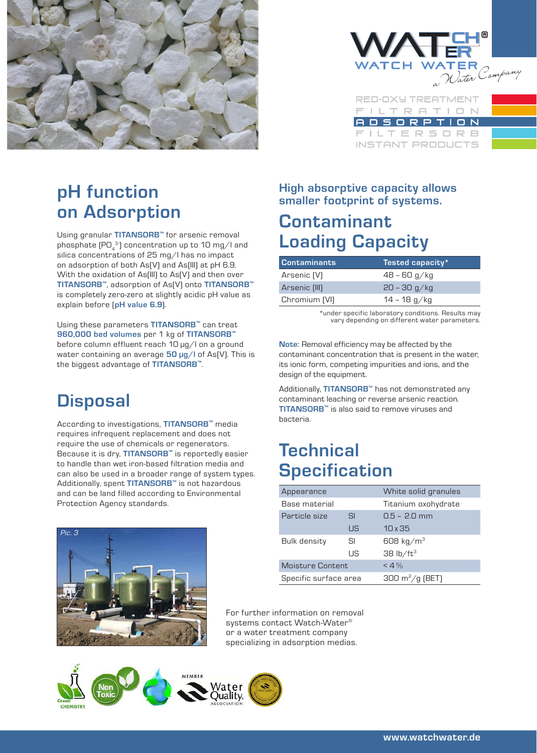



**RED-OXY TREATMENT ILTRATION** DSORPTION ILTERSORB **INSTANT PRODUCTS** 

### **pH function on Adsorption**

Using granular **TITANSORB™** for arsenic removal phosphate (PO $_4^{\; 3}$ ) concentration up to 10 mg/l and silica concentrations of 25 mg/l has no impact on adsorption of both As(V) and As(III) at pH 6.9. With the oxidation of As(III) to As(V) and then over **TITANSORB™**, adsorption of As(V) onto **TITANSORB™** is completely zero-zero at slightly acidic pH value as explain before (**pH value 6.9**).

Using these parameters **TITANSORB™** can treat **960,000 bed volumes** per 1 kg of **TITANSORB™** before column effluent reach 10 µg/l on a ground water containing an average **50 µg/l** of As(V). This is the biggest advantage of **TITANSORB™**.

### **Disposal**

According to investigations, **TITANSORB™** media requires infrequent replacement and does not require the use of chemicals or regenerators. Because it is dry, **TITANSORB™** is reportedly easier to handle than wet iron-based filtration media and can also be used in a broader range of system types. Additionally, spent **TITANSORB™** is not hazardous and can be land filled according to Environmental Protection Agency standards.



**High absorptive capacity allows smaller footprint of systems.**

### **Contaminant Loading Capacity**

| Contaminants  | 'Tested capacity*, |
|---------------|--------------------|
| Arsenic (V)   | $48 - 60$ g/kg     |
| Arsenic (III) | $20 - 30$ g/kg     |
| Chromium [VI] | 14 – 18 g/kg       |

\*under specific laboratory conditions. Results may vary depending on different water parameters.

**Note:** Removal efficiency may be affected by the contaminant concentration that is present in the water, its ionic form, competing impurities and ions, and the design of the equipment.

Additionally, **TITANSORB™** has not demonstrated any contaminant leaching or reverse arsenic reaction. **TITANSORB™** is also said to remove viruses and bacteria.

### **Technical Specification**

| Appearance            |           | White solid granules             |
|-----------------------|-----------|----------------------------------|
| Base material         |           | Titanium oxohydrate              |
| Particle size         | <b>SI</b> | $0.5 - 2.0$ mm                   |
|                       | US        | $10 \times 35$                   |
| Bulk density          | SI        | 608 kg/m <sup>3</sup>            |
|                       | US        | 38 $\frac{1}{2}$ ft <sup>3</sup> |
| Moisture Content      |           | < 4%                             |
| Specific surface area |           | 300 $m^2/g$ (BET)                |

For further information on removal systems contact Watch-Water® or a water treatment company specializing in adsorption medias.